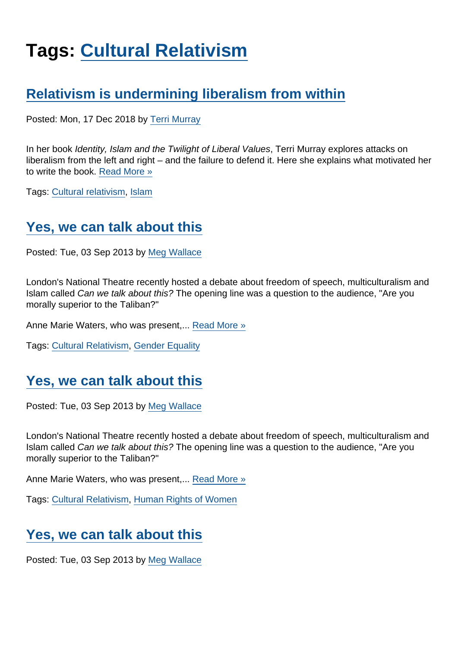# Tags: [Cultural Relativism](https://www.secularism.org.uk/opinion/tags/Cultural+Relativism)

# [Relativism is undermining liberalism from within](https://www.secularism.org.uk/opinion/2018/12/relativism-is-undermining-liberalism-from-within)

Posted: Mon, 17 Dec 2018 by [Terri Murray](https://www.secularism.org.uk/opinion/authors/991)

In her book Identity, Islam and the Twilight of Liberal Values, Terri Murray explores attacks on liberalism from the left and right – and the failure to defend it. Here she explains what motivated her to write the book. [Read More »](https://www.secularism.org.uk/opinion/2018/12/relativism-is-undermining-liberalism-from-within)

Tags: [Cultural relativism,](https://www.secularism.org.uk/opinion/tags/Cultural+relativism) [Islam](https://www.secularism.org.uk/opinion/tags/Islam)

# [Yes, we can talk about this](https://www.secularism.org.uk/opinion/2013/09/yes-we-can-talk-about-this)

Posted: Tue, 03 Sep 2013 by [Meg Wallace](https://www.secularism.org.uk/opinion/authors/879)

London's National Theatre recently hosted a debate about freedom of speech, multiculturalism and Islam called Can we talk about this? The opening line was a question to the audience, "Are you morally superior to the Taliban?"

Anne Marie Waters, who was present,... [Read More »](https://www.secularism.org.uk/opinion/2013/09/yes-we-can-talk-about-this)

Tags: [Cultural Relativism](https://www.secularism.org.uk/opinion/tags/Cultural+Relativism), [Gender Equality](https://www.secularism.org.uk/opinion/tags/Gender+Equality)

# [Yes, we can talk about this](https://www.secularism.org.uk/opinion/2013/09/yes-we-can-talk-about-this12)

Posted: Tue, 03 Sep 2013 by [Meg Wallace](https://www.secularism.org.uk/opinion/authors/879)

London's National Theatre recently hosted a debate about freedom of speech, multiculturalism and Islam called Can we talk about this? The opening line was a question to the audience, "Are you morally superior to the Taliban?"

Anne Marie Waters, who was present,... [Read More »](https://www.secularism.org.uk/opinion/2013/09/yes-we-can-talk-about-this12)

Tags: [Cultural Relativism](https://www.secularism.org.uk/opinion/tags/Cultural+Relativism), [Human Rights of Women](https://www.secularism.org.uk/opinion/tags/Human+Rights+of+Women)

### [Yes, we can talk about this](https://www.secularism.org.uk/opinion/2013/09/yes-we-can-talk-about-this11)

Posted: Tue, 03 Sep 2013 by [Meg Wallace](https://www.secularism.org.uk/opinion/authors/879)